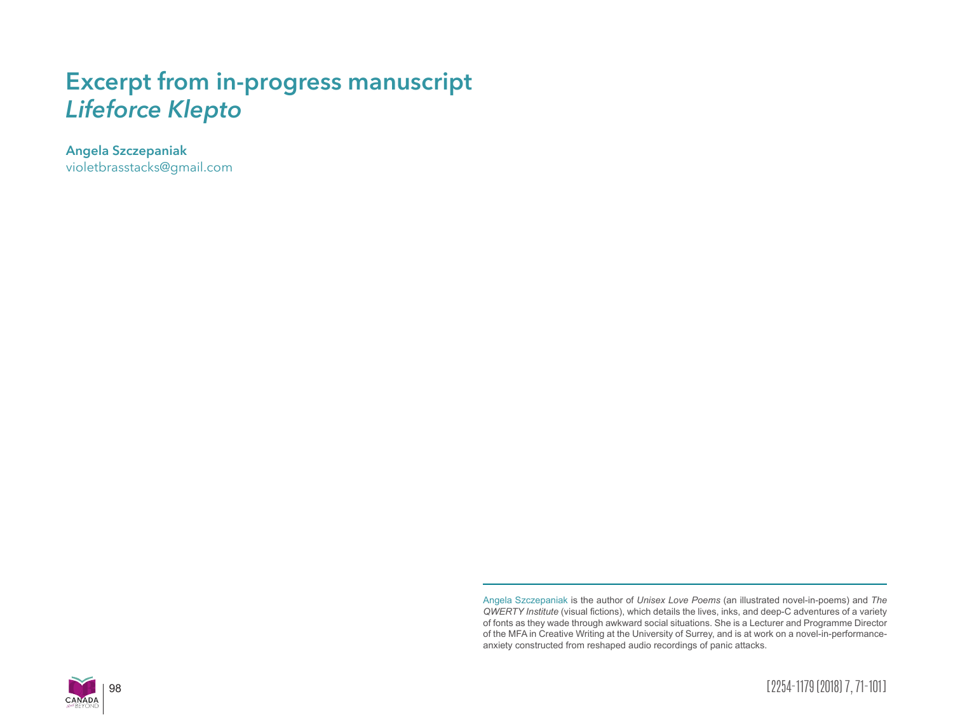## **Excerpt from in-progress manuscript** *Lifeforce Klepto*

**Angela Szczepaniak**

violetbrasstacks@gmail.com

Angela Szczepaniak is the author of *Unisex Love Poems* (an illustrated novel-in-poems) and *The QWERTY Institute* (visual fictions), which details the lives, inks, and deep-C adventures of a variety of fonts as they wade through awkward social situations. She is a Lecturer and Programme Director of the MFA in Creative Writing at the University of Surrey, and is at work on a novel-in-performanceanxiety constructed from reshaped audio recordings of panic attacks.



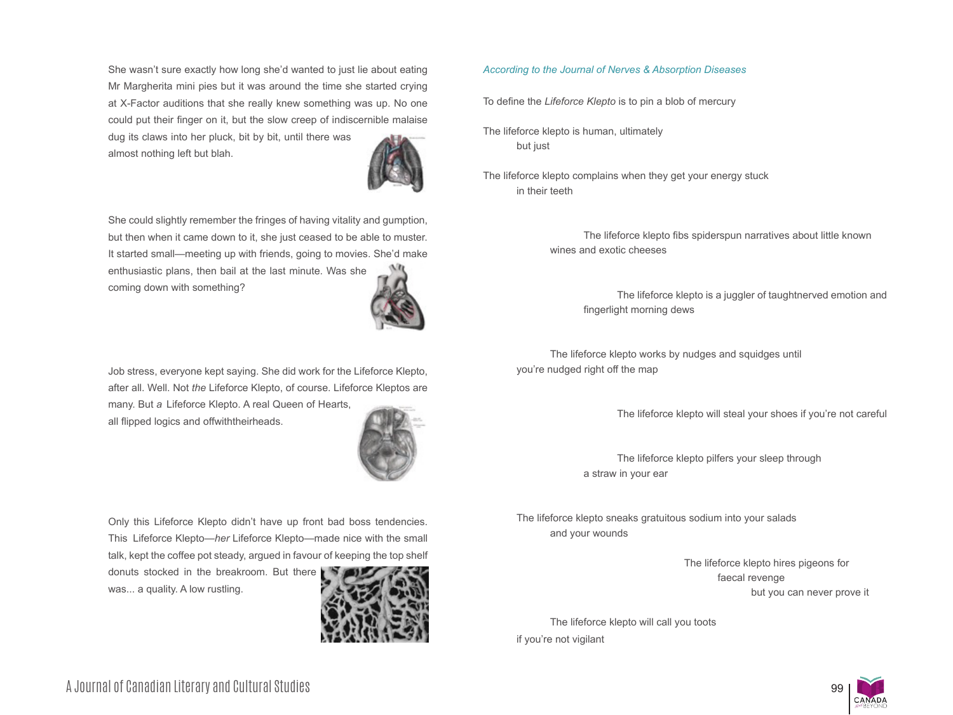She wasn't sure exactly how long she'd wanted to just lie about eating Mr Margherita mini pies but it was around the time she started crying at X-Factor auditions that she really knew something was up. No one could put their finger on it, but the slow creep of indiscernible malaise dug its claws into her pluck, bit by bit, until there was almost nothing left but blah.



She could slightly remember the fringes of having vitality and gumption, but then when it came down to it, she just ceased to be able to muster. It started small—meeting up with friends, going to movies. She'd make enthusiastic plans, then bail at the last minute. Was she coming down with something?



Job stress, everyone kept saying. She did work for the Lifeforce Klepto, after all. Well. Not *the* Lifeforce Klepto, of course. Lifeforce Kleptos are many. But *a* Lifeforce Klepto. A real Queen of Hearts, all flipped logics and offwiththeirheads.



Only this Lifeforce Klepto didn't have up front bad boss tendencies. This Lifeforce Klepto—*her* Lifeforce Klepto—made nice with the small talk, kept the coffee pot steady, argued in favour of keeping the top shelf donuts stocked in the breakroom. But there was... a quality. A low rustling.



## *According to the Journal of Nerves & Absorption Diseases*

To define the *Lifeforce Klepto* is to pin a blob of mercury

The lifeforce klepto is human, ultimately but just

The lifeforce klepto complains when they get your energy stuck in their teeth

> The lifeforce klepto fibs spiderspun narratives about little known wines and exotic cheeses

> > The lifeforce klepto is a juggler of taughtnerved emotion and fingerlight morning dews

The lifeforce klepto works by nudges and squidges until you're nudged right off the map

The lifeforce klepto will steal your shoes if you're not careful

The lifeforce klepto pilfers your sleep through a straw in your ear

The lifeforce klepto sneaks gratuitous sodium into your salads and your wounds

> The lifeforce klepto hires pigeons for faecal revenge but you can never prove it

The lifeforce klepto will call you toots if you're not vigilant

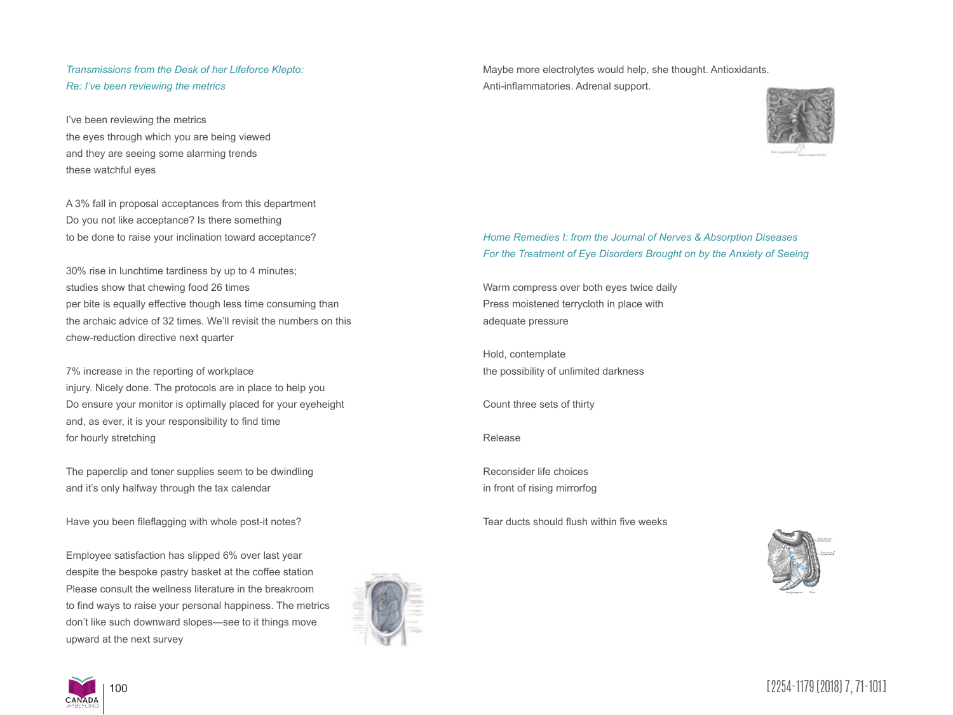## *Transmissions from the Desk of her Lifeforce Klepto: Re: I've been reviewing the metrics*

I've been reviewing the metrics the eyes through which you are being viewed and they are seeing some alarming trends these watchful eyes

A 3% fall in proposal acceptances from this department Do you not like acceptance? Is there something to be done to raise your inclination toward acceptance?

30% rise in lunchtime tardiness by up to 4 minutes; studies show that chewing food 26 times per bite is equally effective though less time consuming than the archaic advice of 32 times. We'll revisit the numbers on this chew-reduction directive next quarter

7% increase in the reporting of workplace injury. Nicely done. The protocols are in place to help you Do ensure your monitor is optimally placed for your eyeheight and, as ever, it is your responsibility to find time for hourly stretching

The paperclip and toner supplies seem to be dwindling and it's only halfway through the tax calendar

Have you been fileflagging with whole post-it notes?

Employee satisfaction has slipped 6% over last year despite the bespoke pastry basket at the coffee station Please consult the wellness literature in the breakroom to find ways to raise your personal happiness. The metrics don't like such downward slopes—see to it things move upward at the next survey



Maybe more electrolytes would help, she thought. Antioxidants. Anti-inflammatories. Adrenal support.



*Home Remedies I: from the Journal of Nerves & Absorption Diseases For the Treatment of Eye Disorders Brought on by the Anxiety of Seeing*

Warm compress over both eyes twice daily Press moistened terrycloth in place with adequate pressure

Hold, contemplate the possibility of unlimited darkness

Count three sets of thirty

Release

Reconsider life choices in front of rising mirrorfog

Tear ducts should flush within five weeks